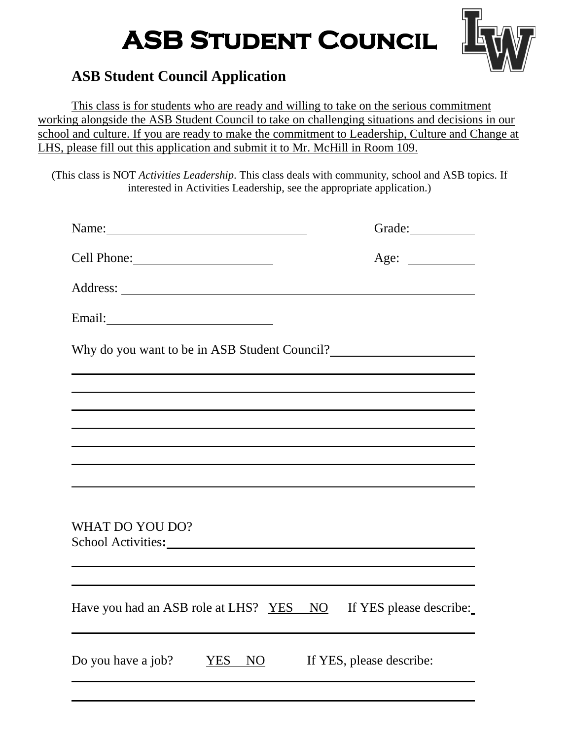## **ASB Student Council**



## **ASB Student Council Application**

This class is for students who are ready and willing to take on the serious commitment working alongside the ASB Student Council to take on challenging situations and decisions in our school and culture. If you are ready to make the commitment to Leadership, Culture and Change at LHS, please fill out this application and submit it to Mr. McHill in Room 109.

(This class is NOT *Activities Leadership*. This class deals with community, school and ASB topics. If interested in Activities Leadership, see the appropriate application.)

| Name:                                                                                                                                                                                                                                             | Grade:                   |  |  |  |  |  |  |
|---------------------------------------------------------------------------------------------------------------------------------------------------------------------------------------------------------------------------------------------------|--------------------------|--|--|--|--|--|--|
|                                                                                                                                                                                                                                                   |                          |  |  |  |  |  |  |
|                                                                                                                                                                                                                                                   |                          |  |  |  |  |  |  |
| Email:                                                                                                                                                                                                                                            |                          |  |  |  |  |  |  |
| Why do you want to be in ASB Student Council?                                                                                                                                                                                                     |                          |  |  |  |  |  |  |
|                                                                                                                                                                                                                                                   |                          |  |  |  |  |  |  |
|                                                                                                                                                                                                                                                   |                          |  |  |  |  |  |  |
| ,我们也不会有什么。""我们的人,我们也不会有什么?""我们的人,我们也不会有什么?""我们的人,我们也不会有什么?""我们的人,我们也不会有什么?""我们的人<br>,我们也不能在这里的时候,我们也不能在这里的时候,我们也不能会在这里的时候,我们也不能会在这里的时候,我们也不能会在这里的时候,我们也不能会在这里的时候,我们也不                                                                             |                          |  |  |  |  |  |  |
|                                                                                                                                                                                                                                                   |                          |  |  |  |  |  |  |
|                                                                                                                                                                                                                                                   |                          |  |  |  |  |  |  |
| WHAT DO YOU DO?<br>School Activities: Note and the set of the set of the set of the set of the set of the set of the set of the set of the set of the set of the set of the set of the set of the set of the set of the set of the set of the set |                          |  |  |  |  |  |  |
|                                                                                                                                                                                                                                                   |                          |  |  |  |  |  |  |
| Have you had an ASB role at LHS? YES NO                                                                                                                                                                                                           | If YES please describe:  |  |  |  |  |  |  |
| Do you have a job?<br>YES NO                                                                                                                                                                                                                      | If YES, please describe: |  |  |  |  |  |  |
|                                                                                                                                                                                                                                                   |                          |  |  |  |  |  |  |